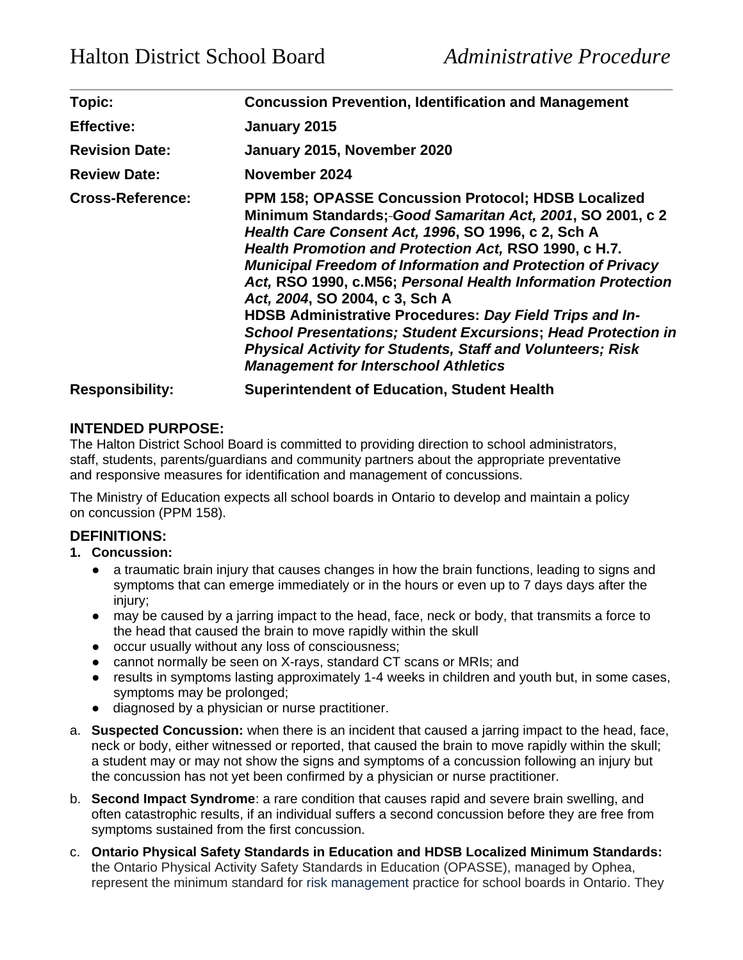| Topic:                  | <b>Concussion Prevention, Identification and Management</b>                                                                                                                                                                                                                                                                                                                                                                                                                                                                                                                                                                                                         |
|-------------------------|---------------------------------------------------------------------------------------------------------------------------------------------------------------------------------------------------------------------------------------------------------------------------------------------------------------------------------------------------------------------------------------------------------------------------------------------------------------------------------------------------------------------------------------------------------------------------------------------------------------------------------------------------------------------|
| <b>Effective:</b>       | January 2015                                                                                                                                                                                                                                                                                                                                                                                                                                                                                                                                                                                                                                                        |
| <b>Revision Date:</b>   | January 2015, November 2020                                                                                                                                                                                                                                                                                                                                                                                                                                                                                                                                                                                                                                         |
| <b>Review Date:</b>     | November 2024                                                                                                                                                                                                                                                                                                                                                                                                                                                                                                                                                                                                                                                       |
| <b>Cross-Reference:</b> | <b>PPM 158; OPASSE Concussion Protocol; HDSB Localized</b><br>Minimum Standards; Good Samaritan Act, 2001, SO 2001, c 2<br>Health Care Consent Act, 1996, SO 1996, c 2, Sch A<br>Health Promotion and Protection Act, RSO 1990, c H.7.<br><b>Municipal Freedom of Information and Protection of Privacy</b><br>Act, RSO 1990, c.M56; Personal Health Information Protection<br>Act, 2004, SO 2004, c 3, Sch A<br>HDSB Administrative Procedures: Day Field Trips and In-<br><b>School Presentations; Student Excursions; Head Protection in</b><br><b>Physical Activity for Students, Staff and Volunteers; Risk</b><br><b>Management for Interschool Athletics</b> |
| <b>Responsibility:</b>  | <b>Superintendent of Education, Student Health</b>                                                                                                                                                                                                                                                                                                                                                                                                                                                                                                                                                                                                                  |

# **INTENDED PURPOSE:**

The Halton District School Board is committed to providing direction to school administrators, staff, students, parents/guardians and community partners about the appropriate preventative and responsive measures for identification and management of concussions.

The Ministry of Education expects all school boards in Ontario to develop and maintain a policy on concussion (PPM 158).

### **DEFINITIONS:**

- **1. Concussion:**
	- a traumatic brain injury that causes changes in how the brain functions, leading to signs and symptoms that can emerge immediately or in the hours or even up to 7 days days after the injury;
	- may be caused by a jarring impact to the head, face, neck or body, that transmits a force to the head that caused the brain to move rapidly within the skull
	- occur usually without any loss of consciousness;
	- cannot normally be seen on X-rays, standard CT scans or MRIs; and
	- results in symptoms lasting approximately 1-4 weeks in children and youth but, in some cases, symptoms may be prolonged;
	- diagnosed by a physician or nurse practitioner.
- a. **Suspected Concussion:** when there is an incident that caused a jarring impact to the head, face, neck or body, either witnessed or reported, that caused the brain to move rapidly within the skull; a student may or may not show the signs and symptoms of a concussion following an injury but the concussion has not yet been confirmed by a physician or nurse practitioner.
- b. **Second Impact Syndrome**: a rare condition that causes rapid and severe brain swelling, and often catastrophic results, if an individual suffers a second concussion before they are free from symptoms sustained from the first concussion.
- c. **Ontario Physical Safety Standards in Education and HDSB Localized Minimum Standards:** the Ontario Physical Activity Safety Standards in Education (OPASSE), managed by Ophea, represent the minimum standard for [risk management](https://safety.ophea.net/about-ontario-physical-activity-safety-standards-education/risk-management) practice for school boards in Ontario. They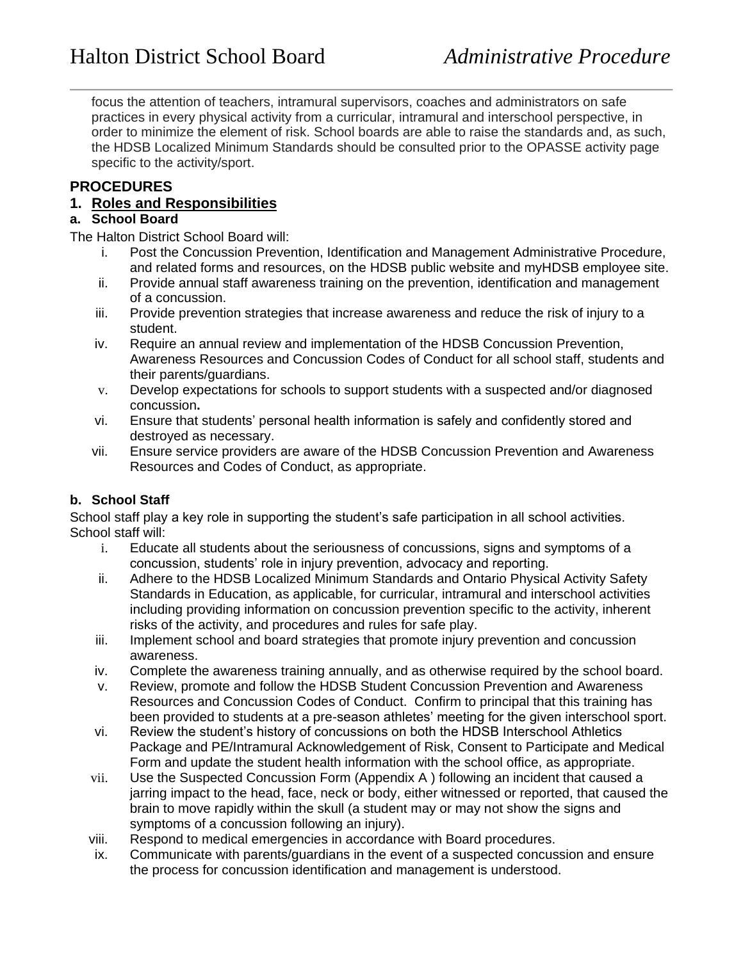focus the attention of teachers, intramural supervisors, coaches and administrators on safe practices in every physical activity from a curricular, intramural and interschool perspective, in order to minimize the element of risk. School boards are able to raise the standards and, as such, the HDSB Localized Minimum Standards should be consulted prior to the OPASSE activity page specific to the activity/sport.

## **PROCEDURES**

## **1. Roles and Responsibilities**

# **a. School Board**

The Halton District School Board will:

- i. Post the Concussion Prevention, Identification and Management Administrative Procedure, and related forms and resources, on the HDSB public website and myHDSB employee site.
- ii. Provide annual staff awareness training on the prevention, identification and management of a concussion.
- iii. Provide prevention strategies that increase awareness and reduce the risk of injury to a student.
- iv. Require an annual review and implementation of the HDSB Concussion Prevention, Awareness Resources and Concussion Codes of Conduct for all school staff, students and their parents/guardians.
- v. Develop expectations for schools to support students with a suspected and/or diagnosed concussion**.**
- vi. Ensure that students' personal health information is safely and confidently stored and destroyed as necessary.
- vii. Ensure service providers are aware of the HDSB Concussion Prevention and Awareness Resources and Codes of Conduct, as appropriate.

### **b. School Staff**

School staff play a key role in supporting the student's safe participation in all school activities. School staff will:

- i. Educate all students about the seriousness of concussions, signs and symptoms of a concussion, students' role in injury prevention, advocacy and reporting.
- ii. Adhere to the HDSB Localized Minimum Standards and Ontario Physical Activity Safety Standards in Education, as applicable, for curricular, intramural and interschool activities including providing information on concussion prevention specific to the activity, inherent risks of the activity, and procedures and rules for safe play.
- iii. Implement school and board strategies that promote injury prevention and concussion awareness.
- iv. Complete the awareness training annually, and as otherwise required by the school board.
- v. Review, promote and follow the HDSB Student Concussion Prevention and Awareness Resources and Concussion Codes of Conduct. Confirm to principal that this training has been provided to students at a pre-season athletes' meeting for the given interschool sport.
- vi. Review the student's history of concussions on both the HDSB Interschool Athletics Package and PE/Intramural Acknowledgement of Risk, Consent to Participate and Medical Form and update the student health information with the school office, as appropriate.
- vii. Use the Suspected Concussion Form (Appendix A ) following an incident that caused a jarring impact to the head, face, neck or body, either witnessed or reported, that caused the brain to move rapidly within the skull (a student may or may not show the signs and symptoms of a concussion following an injury).
- viii. Respond to medical emergencies in accordance with Board procedures.
- ix. Communicate with parents/guardians in the event of a suspected concussion and ensure the process for concussion identification and management is understood.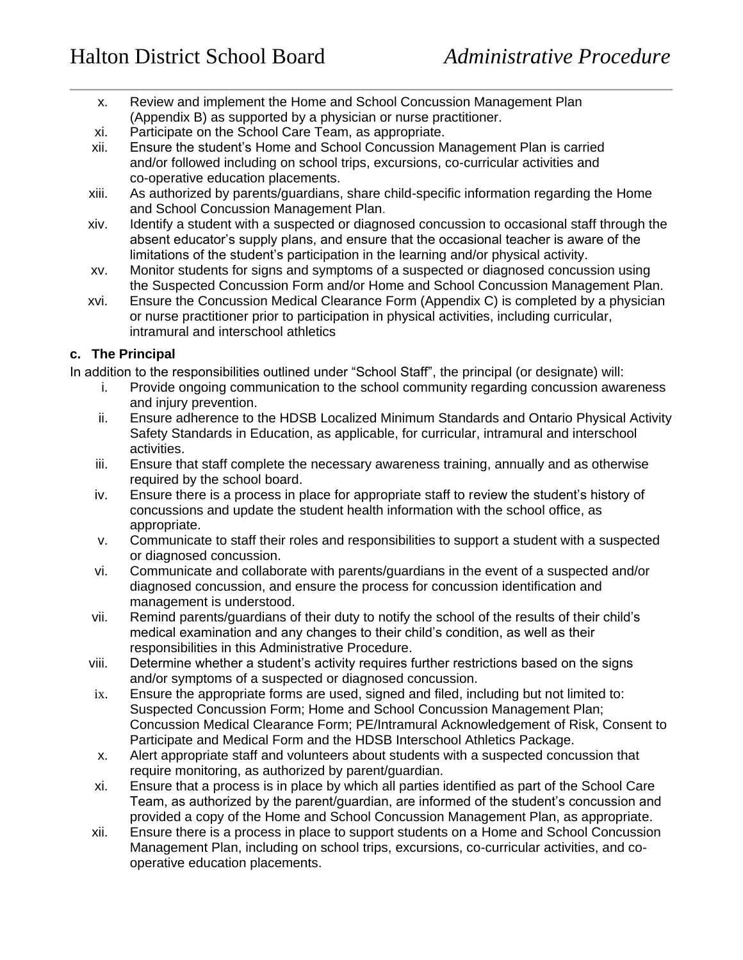- x. Review and implement the Home and School Concussion Management Plan (Appendix B) as supported by a physician or nurse practitioner.
- xi. Participate on the School Care Team, as appropriate.
- xii. Ensure the student's Home and School Concussion Management Plan is carried and/or followed including on school trips, excursions, co-curricular activities and co-operative education placements.
- xiii. As authorized by parents/guardians, share child-specific information regarding the Home and School Concussion Management Plan.
- xiv. Identify a student with a suspected or diagnosed concussion to occasional staff through the absent educator's supply plans, and ensure that the occasional teacher is aware of the limitations of the student's participation in the learning and/or physical activity.
- xv. Monitor students for signs and symptoms of a suspected or diagnosed concussion using the Suspected Concussion Form and/or Home and School Concussion Management Plan.
- xvi. Ensure the Concussion Medical Clearance Form (Appendix C) is completed by a physician or nurse practitioner prior to participation in physical activities, including curricular, intramural and interschool athletics

### **c. The Principal**

In addition to the responsibilities outlined under "School Staff", the principal (or designate) will:

- i. Provide ongoing communication to the school community regarding concussion awareness and injury prevention.
- ii. Ensure adherence to the HDSB Localized Minimum Standards and Ontario Physical Activity Safety Standards in Education, as applicable, for curricular, intramural and interschool activities.
- iii. Ensure that staff complete the necessary awareness training, annually and as otherwise required by the school board.
- iv. Ensure there is a process in place for appropriate staff to review the student's history of concussions and update the student health information with the school office, as appropriate.
- v. Communicate to staff their roles and responsibilities to support a student with a suspected or diagnosed concussion.
- vi. Communicate and collaborate with parents/guardians in the event of a suspected and/or diagnosed concussion, and ensure the process for concussion identification and management is understood.
- vii. Remind parents/guardians of their duty to notify the school of the results of their child's medical examination and any changes to their child's condition, as well as their responsibilities in this Administrative Procedure.
- viii. Determine whether a student's activity requires further restrictions based on the signs and/or symptoms of a suspected or diagnosed concussion.
- ix. Ensure the appropriate forms are used, signed and filed, including but not limited to: Suspected Concussion Form; Home and School Concussion Management Plan; Concussion Medical Clearance Form; PE/Intramural Acknowledgement of Risk, Consent to Participate and Medical Form and the HDSB Interschool Athletics Package.
- x. Alert appropriate staff and volunteers about students with a suspected concussion that require monitoring, as authorized by parent/guardian.
- xi. Ensure that a process is in place by which all parties identified as part of the School Care Team, as authorized by the parent/guardian, are informed of the student's concussion and provided a copy of the Home and School Concussion Management Plan, as appropriate.
- xii. Ensure there is a process in place to support students on a Home and School Concussion Management Plan, including on school trips, excursions, co-curricular activities, and cooperative education placements.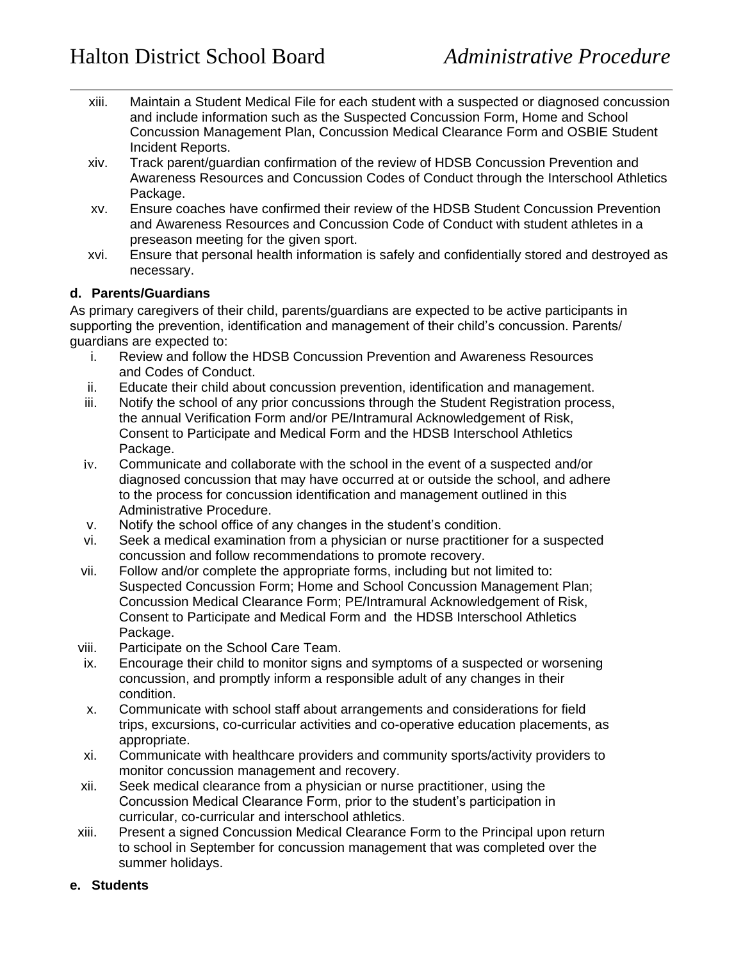- xiii. Maintain a Student Medical File for each student with a suspected or diagnosed concussion and include information such as the Suspected Concussion Form, Home and School Concussion Management Plan, Concussion Medical Clearance Form and OSBIE Student Incident Reports.
- xiv. Track parent/guardian confirmation of the review of HDSB Concussion Prevention and Awareness Resources and Concussion Codes of Conduct through the Interschool Athletics Package.
- xv. Ensure coaches have confirmed their review of the HDSB Student Concussion Prevention and Awareness Resources and Concussion Code of Conduct with student athletes in a preseason meeting for the given sport.
- xvi. Ensure that personal health information is safely and confidentially stored and destroyed as necessary.

### **d. Parents/Guardians**

As primary caregivers of their child, parents/guardians are expected to be active participants in supporting the prevention, identification and management of their child's concussion. Parents/ guardians are expected to:

- i. Review and follow the HDSB Concussion Prevention and Awareness Resources and Codes of Conduct.
- ii. Educate their child about concussion prevention, identification and management.
- iii. Notify the school of any prior concussions through the Student Registration process, the annual Verification Form and/or PE/Intramural Acknowledgement of Risk, Consent to Participate and Medical Form and the HDSB Interschool Athletics Package.
- iv. Communicate and collaborate with the school in the event of a suspected and/or diagnosed concussion that may have occurred at or outside the school, and adhere to the process for concussion identification and management outlined in this Administrative Procedure.
- v. Notify the school office of any changes in the student's condition.
- vi. Seek a medical examination from a physician or nurse practitioner for a suspected concussion and follow recommendations to promote recovery.
- vii. Follow and/or complete the appropriate forms, including but not limited to: Suspected Concussion Form; Home and School Concussion Management Plan; Concussion Medical Clearance Form; PE/Intramural Acknowledgement of Risk, Consent to Participate and Medical Form and the HDSB Interschool Athletics Package.
- viii. Participate on the School Care Team.
- ix. Encourage their child to monitor signs and symptoms of a suspected or worsening concussion, and promptly inform a responsible adult of any changes in their condition.
- x. Communicate with school staff about arrangements and considerations for field trips, excursions, co-curricular activities and co-operative education placements, as appropriate.
- xi. Communicate with healthcare providers and community sports/activity providers to monitor concussion management and recovery.
- xii. Seek medical clearance from a physician or nurse practitioner, using the Concussion Medical Clearance Form, prior to the student's participation in curricular, co-curricular and interschool athletics.
- xiii. Present a signed Concussion Medical Clearance Form to the Principal upon return to school in September for concussion management that was completed over the summer holidays.

#### **e. Students**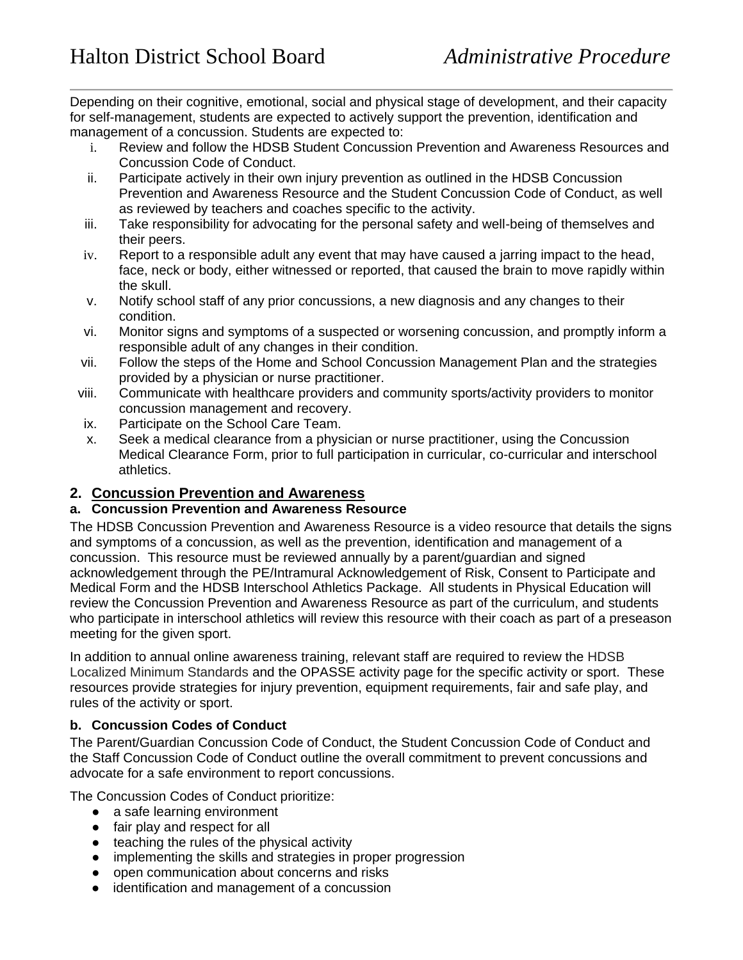Depending on their cognitive, emotional, social and physical stage of development, and their capacity for self-management, students are expected to actively support the prevention, identification and management of a concussion. Students are expected to:

- i. Review and follow the HDSB Student Concussion Prevention and Awareness Resources and Concussion Code of Conduct.
- ii. Participate actively in their own injury prevention as outlined in the HDSB Concussion Prevention and Awareness Resource and the Student Concussion Code of Conduct, as well as reviewed by teachers and coaches specific to the activity.
- iii. Take responsibility for advocating for the personal safety and well-being of themselves and their peers.
- iv. Report to a responsible adult any event that may have caused a jarring impact to the head, face, neck or body, either witnessed or reported, that caused the brain to move rapidly within the skull.
- v. Notify school staff of any prior concussions, a new diagnosis and any changes to their condition.
- vi. Monitor signs and symptoms of a suspected or worsening concussion, and promptly inform a responsible adult of any changes in their condition.
- vii. Follow the steps of the Home and School Concussion Management Plan and the strategies provided by a physician or nurse practitioner.
- viii. Communicate with healthcare providers and community sports/activity providers to monitor concussion management and recovery.
- ix. Participate on the School Care Team.
- x. Seek a medical clearance from a physician or nurse practitioner, using the Concussion Medical Clearance Form, prior to full participation in curricular, co-curricular and interschool athletics.

# **2. Concussion Prevention and Awareness**

### **a. Concussion Prevention and Awareness Resource**

The HDSB Concussion Prevention and Awareness Resource is a video resource that details the signs and symptoms of a concussion, as well as the prevention, identification and management of a concussion. This resource must be reviewed annually by a parent/guardian and signed acknowledgement through the PE/Intramural Acknowledgement of Risk, Consent to Participate and Medical Form and the HDSB Interschool Athletics Package. All students in Physical Education will review the Concussion Prevention and Awareness Resource as part of the curriculum, and students who participate in interschool athletics will review this resource with their coach as part of a preseason meeting for the given sport.

In addition to annual online awareness training, relevant staff are required to review the HDSB Localized Minimum Standards and the OPASSE activity page for the specific activity or sport. These resources provide strategies for injury prevention, equipment requirements, fair and safe play, and rules of the activity or sport.

### **b. Concussion Codes of Conduct**

The Parent/Guardian Concussion Code of Conduct, the Student Concussion Code of Conduct and the Staff Concussion Code of Conduct outline the overall commitment to prevent concussions and advocate for a safe environment to report concussions.

The Concussion Codes of Conduct prioritize:

- a safe learning environment
- fair play and respect for all
- teaching the rules of the physical activity
- implementing the skills and strategies in proper progression
- open communication about concerns and risks
- identification and management of a concussion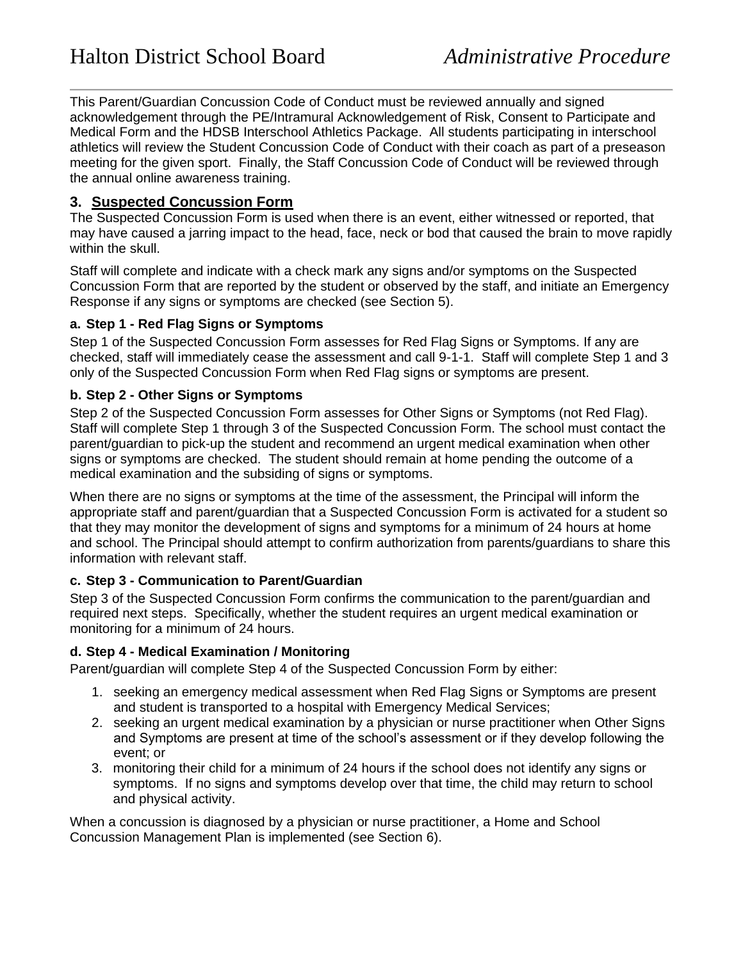This Parent/Guardian Concussion Code of Conduct must be reviewed annually and signed acknowledgement through the PE/Intramural Acknowledgement of Risk, Consent to Participate and Medical Form and the HDSB Interschool Athletics Package. All students participating in interschool athletics will review the Student Concussion Code of Conduct with their coach as part of a preseason meeting for the given sport. Finally, the Staff Concussion Code of Conduct will be reviewed through the annual online awareness training.

## **3. Suspected Concussion Form**

The Suspected Concussion Form is used when there is an event, either witnessed or reported, that may have caused a jarring impact to the head, face, neck or bod that caused the brain to move rapidly within the skull.

Staff will complete and indicate with a check mark any signs and/or symptoms on the Suspected Concussion Form that are reported by the student or observed by the staff, and initiate an Emergency Response if any signs or symptoms are checked (see Section 5).

### **a. Step 1 - Red Flag Signs or Symptoms**

Step 1 of the Suspected Concussion Form assesses for Red Flag Signs or Symptoms. If any are checked, staff will immediately cease the assessment and call 9-1-1. Staff will complete Step 1 and 3 only of the Suspected Concussion Form when Red Flag signs or symptoms are present.

### **b. Step 2 - Other Signs or Symptoms**

Step 2 of the Suspected Concussion Form assesses for Other Signs or Symptoms (not Red Flag). Staff will complete Step 1 through 3 of the Suspected Concussion Form. The school must contact the parent/guardian to pick-up the student and recommend an urgent medical examination when other signs or symptoms are checked. The student should remain at home pending the outcome of a medical examination and the subsiding of signs or symptoms.

When there are no signs or symptoms at the time of the assessment, the Principal will inform the appropriate staff and parent/guardian that a Suspected Concussion Form is activated for a student so that they may monitor the development of signs and symptoms for a minimum of 24 hours at home and school. The Principal should attempt to confirm authorization from parents/guardians to share this information with relevant staff.

### **c. Step 3 - Communication to Parent/Guardian**

Step 3 of the Suspected Concussion Form confirms the communication to the parent/guardian and required next steps. Specifically, whether the student requires an urgent medical examination or monitoring for a minimum of 24 hours.

### **d. Step 4 - Medical Examination / Monitoring**

Parent/guardian will complete Step 4 of the Suspected Concussion Form by either:

- 1. seeking an emergency medical assessment when Red Flag Signs or Symptoms are present and student is transported to a hospital with Emergency Medical Services;
- 2. seeking an urgent medical examination by a physician or nurse practitioner when Other Signs and Symptoms are present at time of the school's assessment or if they develop following the event; or
- 3. monitoring their child for a minimum of 24 hours if the school does not identify any signs or symptoms. If no signs and symptoms develop over that time, the child may return to school and physical activity.

When a concussion is diagnosed by a physician or nurse practitioner, a Home and School Concussion Management Plan is implemented (see Section 6).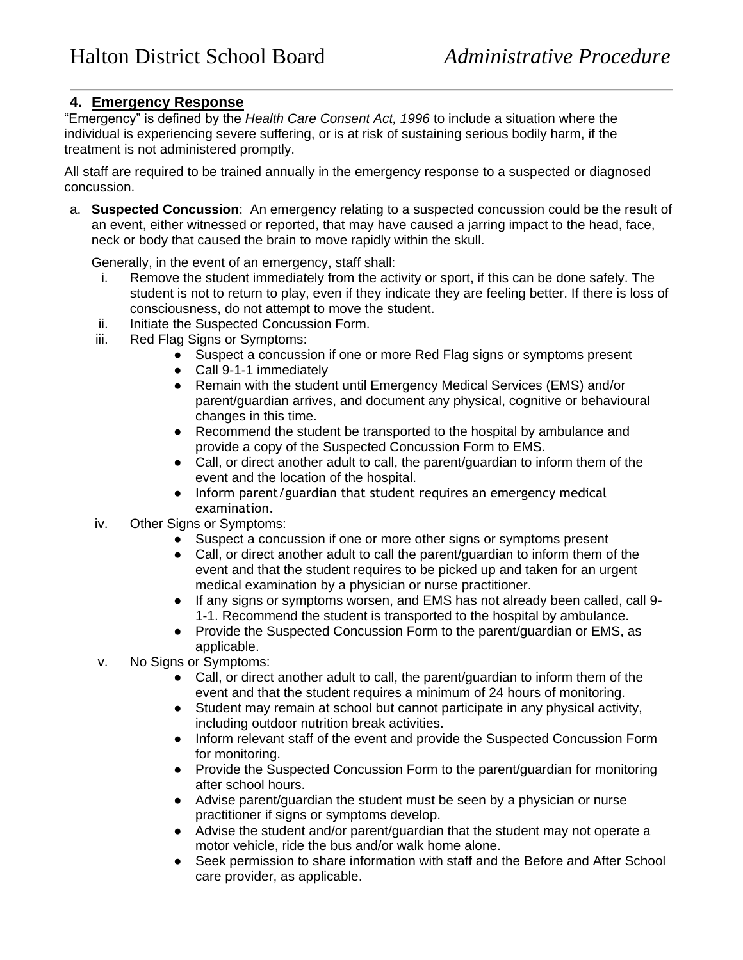### **4. Emergency Response**

"Emergency" is defined by the *Health Care Consent Act, 1996* to include a situation where the individual is experiencing severe suffering, or is at risk of sustaining serious bodily harm, if the treatment is not administered promptly.

All staff are required to be trained annually in the emergency response to a suspected or diagnosed concussion.

a. **Suspected Concussion**: An emergency relating to a suspected concussion could be the result of an event, either witnessed or reported, that may have caused a jarring impact to the head, face, neck or body that caused the brain to move rapidly within the skull.

Generally, in the event of an emergency, staff shall:

- i. Remove the student immediately from the activity or sport, if this can be done safely. The student is not to return to play, even if they indicate they are feeling better. If there is loss of consciousness, do not attempt to move the student.
- ii. Initiate the Suspected Concussion Form.
- iii. Red Flag Signs or Symptoms:
	- Suspect a concussion if one or more Red Flag signs or symptoms present
	- Call 9-1-1 immediately
	- Remain with the student until Emergency Medical Services (EMS) and/or parent/guardian arrives, and document any physical, cognitive or behavioural changes in this time.
	- Recommend the student be transported to the hospital by ambulance and provide a copy of the Suspected Concussion Form to EMS.
	- Call, or direct another adult to call, the parent/guardian to inform them of the event and the location of the hospital.
	- Inform parent/guardian that student requires an emergency medical examination.
- iv. Other Signs or Symptoms:
	- Suspect a concussion if one or more other signs or symptoms present
	- Call, or direct another adult to call the parent/guardian to inform them of the event and that the student requires to be picked up and taken for an urgent medical examination by a physician or nurse practitioner.
	- If any signs or symptoms worsen, and EMS has not already been called, call 9- 1-1. Recommend the student is transported to the hospital by ambulance.
	- Provide the Suspected Concussion Form to the parent/guardian or EMS, as applicable.
- v. No Signs or Symptoms:
	- Call, or direct another adult to call, the parent/guardian to inform them of the event and that the student requires a minimum of 24 hours of monitoring.
	- Student may remain at school but cannot participate in any physical activity, including outdoor nutrition break activities.
	- Inform relevant staff of the event and provide the Suspected Concussion Form for monitoring.
	- Provide the Suspected Concussion Form to the parent/guardian for monitoring after school hours.
	- Advise parent/guardian the student must be seen by a physician or nurse practitioner if signs or symptoms develop.
	- Advise the student and/or parent/guardian that the student may not operate a motor vehicle, ride the bus and/or walk home alone.
	- Seek permission to share information with staff and the Before and After School care provider, as applicable.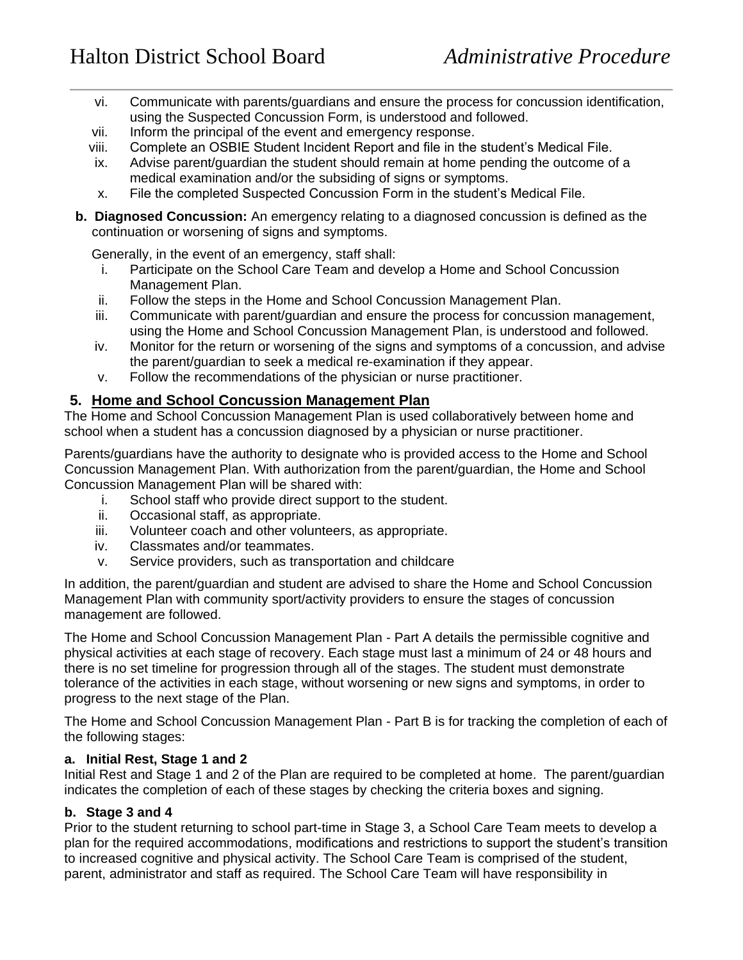- vi. Communicate with parents/guardians and ensure the process for concussion identification, using the Suspected Concussion Form, is understood and followed.
- vii. Inform the principal of the event and emergency response.
- viii. Complete an OSBIE Student Incident Report and file in the student's Medical File.
- ix. Advise parent/guardian the student should remain at home pending the outcome of a medical examination and/or the subsiding of signs or symptoms.
- x. File the completed Suspected Concussion Form in the student's Medical File.
- **b. Diagnosed Concussion:** An emergency relating to a diagnosed concussion is defined as the continuation or worsening of signs and symptoms.

Generally, in the event of an emergency, staff shall:

- i. Participate on the School Care Team and develop a Home and School Concussion Management Plan.
- ii. Follow the steps in the Home and School Concussion Management Plan.
- iii. Communicate with parent/guardian and ensure the process for concussion management, using the Home and School Concussion Management Plan, is understood and followed.
- iv. Monitor for the return or worsening of the signs and symptoms of a concussion, and advise the parent/guardian to seek a medical re-examination if they appear.
- v. Follow the recommendations of the physician or nurse practitioner.

### **5. Home and School Concussion Management Plan**

The Home and School Concussion Management Plan is used collaboratively between home and school when a student has a concussion diagnosed by a physician or nurse practitioner.

Parents/guardians have the authority to designate who is provided access to the Home and School Concussion Management Plan. With authorization from the parent/guardian, the Home and School Concussion Management Plan will be shared with:

- i. School staff who provide direct support to the student.
- ii. Occasional staff, as appropriate.
- iii. Volunteer coach and other volunteers, as appropriate.
- iv. Classmates and/or teammates.
- v. Service providers, such as transportation and childcare

In addition, the parent/guardian and student are advised to share the Home and School Concussion Management Plan with community sport/activity providers to ensure the stages of concussion management are followed.

The Home and School Concussion Management Plan - Part A details the permissible cognitive and physical activities at each stage of recovery. Each stage must last a minimum of 24 or 48 hours and there is no set timeline for progression through all of the stages. The student must demonstrate tolerance of the activities in each stage, without worsening or new signs and symptoms, in order to progress to the next stage of the Plan.

The Home and School Concussion Management Plan - Part B is for tracking the completion of each of the following stages:

#### **a. Initial Rest, Stage 1 and 2**

Initial Rest and Stage 1 and 2 of the Plan are required to be completed at home. The parent/guardian indicates the completion of each of these stages by checking the criteria boxes and signing.

#### **b. Stage 3 and 4**

Prior to the student returning to school part-time in Stage 3, a School Care Team meets to develop a plan for the required accommodations, modifications and restrictions to support the student's transition to increased cognitive and physical activity. The School Care Team is comprised of the student, parent, administrator and staff as required. The School Care Team will have responsibility in